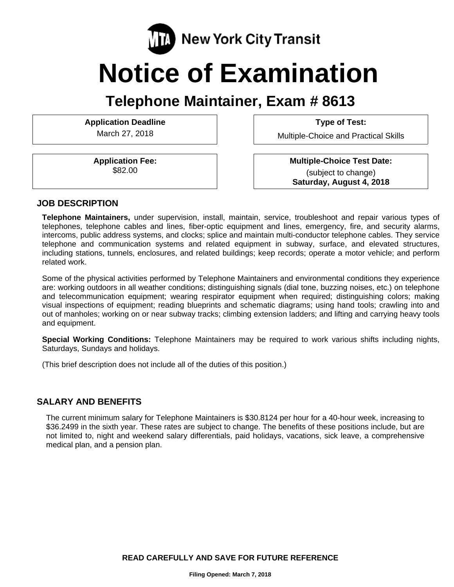

# **Notice of Examination**

**Telephone Maintainer, Exam # 8613** 

Application Deadline **Type of Test: Application** Deadline

March 27, 2018 **Multiple-Choice and Practical Skills** 

**Application Fee:**  \$82.00

 **Multiple-Choice Test Date:** (subject to change) **Saturday, August 4, 2018** 

#### **JOB DESCRIPTION**

**Telephone Maintainers,** under supervision, install, maintain, service, troubleshoot and repair various types of telephones, telephone cables and lines, fiber-optic equipment and lines, emergency, fire, and security alarms, intercoms, public address systems, and clocks; splice and maintain multi-conductor telephone cables. They service telephone and communication systems and related equipment in subway, surface, and elevated structures, including stations, tunnels, enclosures, and related buildings; keep records; operate a motor vehicle; and perform related work.

Some of the physical activities performed by Telephone Maintainers and environmental conditions they experience are: working outdoors in all weather conditions; distinguishing signals (dial tone, buzzing noises, etc.) on telephone and telecommunication equipment; wearing respirator equipment when required; distinguishing colors; making visual inspections of equipment; reading blueprints and schematic diagrams; using hand tools; crawling into and out of manholes; working on or near subway tracks; climbing extension ladders; and lifting and carrying heavy tools and equipment.

**Special Working Conditions:** Telephone Maintainers may be required to work various shifts including nights, Saturdays, Sundays and holidays.

(This brief description does not include all of the duties of this position.)

## **SALARY AND BENEFITS**

The current minimum salary for Telephone Maintainers is \$30.8124 per hour for a 40-hour week, increasing to \$36.2499 in the sixth year. These rates are subject to change. The benefits of these positions include, but are not limited to, night and weekend salary differentials, paid holidays, vacations, sick leave, a comprehensive medical plan, and a pension plan.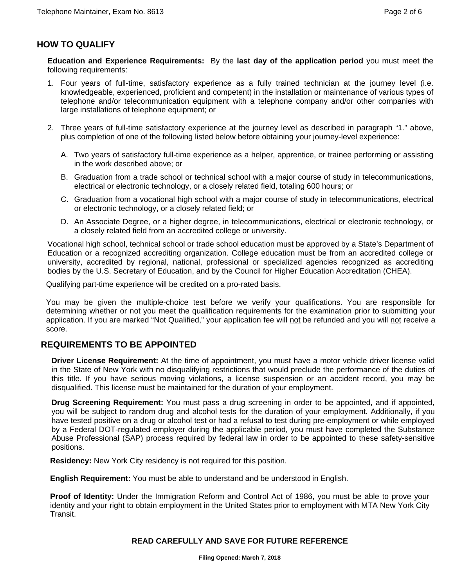# **HOW TO QUALIFY**

**Education and Experience Requirements:** By the **last day of the application period** you must meet the following requirements:

- 1. Four years of full-time, satisfactory experience as a fully trained technician at the journey level (i.e. knowledgeable, experienced, proficient and competent) in the installation or maintenance of various types of telephone and/or telecommunication equipment with a telephone company and/or other companies with large installations of telephone equipment; or
- 2. Three years of full-time satisfactory experience at the journey level as described in paragraph "1." above, plus completion of one of the following listed below before obtaining your journey-level experience:
	- A. Two years of satisfactory full-time experience as a helper, apprentice, or trainee performing or assisting in the work described above; or
	- B. Graduation from a trade school or technical school with a major course of study in telecommunications, electrical or electronic technology, or a closely related field, totaling 600 hours; or
	- C. Graduation from a vocational high school with a major course of study in telecommunications, electrical or electronic technology, or a closely related field; or
	- D. An Associate Degree, or a higher degree, in telecommunications, electrical or electronic technology, or a closely related field from an accredited college or university.

Vocational high school, technical school or trade school education must be approved by a State's Department of Education or a recognized accrediting organization. College education must be from an accredited college or university, accredited by regional, national, professional or specialized agencies recognized as accrediting bodies by the U.S. Secretary of Education, and by the Council for Higher Education Accreditation (CHEA).

Qualifying part-time experience will be credited on a pro-rated basis.

You may be given the multiple-choice test before we verify your qualifications. You are responsible for determining whether or not you meet the qualification requirements for the examination prior to submitting your application. If you are marked "Not Qualified," your application fee will not be refunded and you will not receive a score.

# **REQUIREMENTS TO BE APPOINTED**

**Driver License Requirement:** At the time of appointment, you must have a motor vehicle driver license valid in the State of New York with no disqualifying restrictions that would preclude the performance of the duties of this title. If you have serious moving violations, a license suspension or an accident record, you may be disqualified. This license must be maintained for the duration of your employment.

**Drug Screening Requirement:** You must pass a drug screening in order to be appointed, and if appointed, you will be subject to random drug and alcohol tests for the duration of your employment. Additionally, if you have tested positive on a drug or alcohol test or had a refusal to test during pre-employment or while employed by a Federal DOT-regulated employer during the applicable period, you must have completed the Substance Abuse Professional (SAP) process required by federal law in order to be appointed to these safety-sensitive positions.

**Residency:** New York City residency is not required for this position.

**English Requirement:** You must be able to understand and be understood in English.

**Proof of Identity:** Under the Immigration Reform and Control Act of 1986, you must be able to prove your identity and your right to obtain employment in the United States prior to employment with MTA New York City Transit.

# **READ CAREFULLY AND SAVE FOR FUTURE REFERENCE**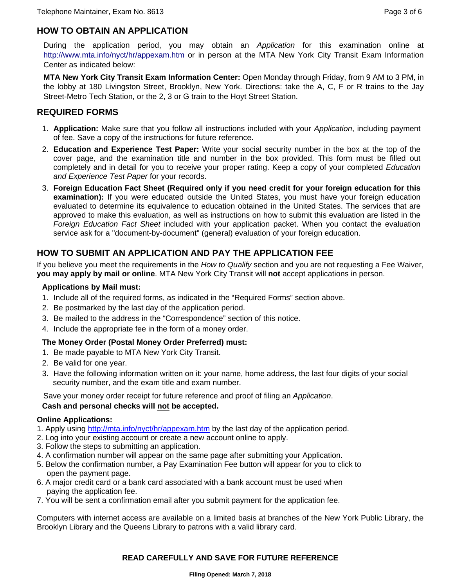# **HOW TO OBTAIN AN APPLICATION**

During the application period, you may obtain an *Application* for this examination online at http://www.mta.info/nyct/hr/appexam.htm or in person at the MTA New York City Transit Exam Information Center as indicated below:

**MTA New York City Transit Exam Information Center:** Open Monday through Friday, from 9 AM to 3 PM, in the lobby at 180 Livingston Street, Brooklyn, New York. Directions: take the A, C, F or R trains to the Jay Street-Metro Tech Station, or the 2, 3 or G train to the Hoyt Street Station.

## **REQUIRED FORMS**

- 1. **Application:** Make sure that you follow all instructions included with your *Application*, including payment of fee. Save a copy of the instructions for future reference.
- 2. **Education and Experience Test Paper:** Write your social security number in the box at the top of the cover page, and the examination title and number in the box provided. This form must be filled out completely and in detail for you to receive your proper rating. Keep a copy of your completed *Education and Experience Test Paper* for your records.
- 3. **Foreign Education Fact Sheet (Required only if you need credit for your foreign education for this examination):** If you were educated outside the United States, you must have your foreign education evaluated to determine its equivalence to education obtained in the United States. The services that are approved to make this evaluation, as well as instructions on how to submit this evaluation are listed in the *Foreign Education Fact Sheet* included with your application packet. When you contact the evaluation service ask for a "document-by-document" (general) evaluation of your foreign education.

# **HOW TO SUBMIT AN APPLICATION AND PAY THE APPLICATION FEE**

If you believe you meet the requirements in the *How to Qualify* section and you are not requesting a Fee Waiver, **you may apply by mail or online**. MTA New York City Transit will **not** accept applications in person.

#### **Applications by Mail must:**

- 1. Include all of the required forms, as indicated in the "Required Forms" section above.
- 2. Be postmarked by the last day of the application period.
- 3. Be mailed to the address in the "Correspondence" section of this notice.
- 4. Include the appropriate fee in the form of a money order.

#### **The Money Order (Postal Money Order Preferred) must:**

- 1. Be made payable to MTA New York City Transit.
- 2. Be valid for one year.
- 3. Have the following information written on it: your name, home address, the last four digits of your social security number, and the exam title and exam number.

Save your money order receipt for future reference and proof of filing an *Application*.

#### **Cash and personal checks will not be accepted.**

#### **Online Applications:**

- 1. Apply using http://mta.info/nyct/hr/appexam.htm by the last day of the application period.
- 2. Log into your existing account or create a new account online to apply.
- 3. Follow the steps to submitting an application.
- 4. A confirmation number will appear on the same page after submitting your Application.
- 5. Below the confirmation number, a Pay Examination Fee button will appear for you to click to open the payment page.
- 6. A major credit card or a bank card associated with a bank account must be used when paying the application fee.
- 7. You will be sent a confirmation email after you submit payment for the application fee.

Computers with internet access are available on a limited basis at branches of the New York Public Library, the Brooklyn Library and the Queens Library to patrons with a valid library card.

#### **READ CAREFULLY AND SAVE FOR FUTURE REFERENCE**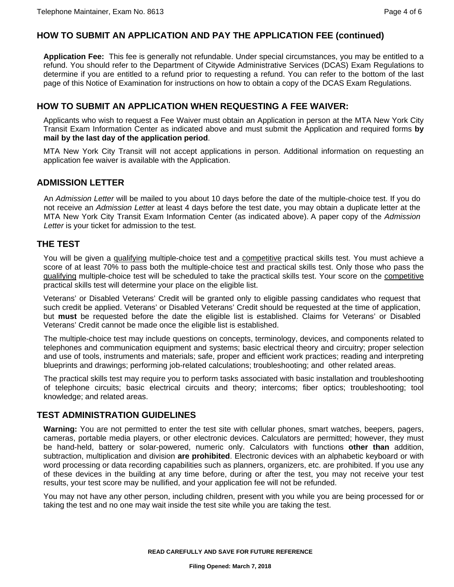# **HOW TO SUBMIT AN APPLICATION AND PAY THE APPLICATION FEE (continued)**

**Application Fee:** This fee is generally not refundable. Under special circumstances, you may be entitled to a refund. You should refer to the Department of Citywide Administrative Services (DCAS) Exam Regulations to determine if you are entitled to a refund prior to requesting a refund. You can refer to the bottom of the last page of this Notice of Examination for instructions on how to obtain a copy of the DCAS Exam Regulations.

### **HOW TO SUBMIT AN APPLICATION WHEN REQUESTING A FEE WAIVER:**

Applicants who wish to request a Fee Waiver must obtain an Application in person at the MTA New York City Transit Exam Information Center as indicated above and must submit the Application and required forms **by mail by the last day of the application period**.

MTA New York City Transit will not accept applications in person. Additional information on requesting an application fee waiver is available with the Application.

#### **ADMISSION LETTER**

An *Admission Letter* will be mailed to you about 10 days before the date of the multiple-choice test. If you do not receive an *Admission Letter* at least 4 days before the test date, you may obtain a duplicate letter at the MTA New York City Transit Exam Information Center (as indicated above). A paper copy of the *Admission Letter* is your ticket for admission to the test.

#### **THE TEST**

You will be given a qualifying multiple-choice test and a competitive practical skills test. You must achieve a score of at least 70% to pass both the multiple-choice test and practical skills test. Only those who pass the qualifying multiple-choice test will be scheduled to take the practical skills test. Your score on the competitive practical skills test will determine your place on the eligible list.

Veterans' or Disabled Veterans' Credit will be granted only to eligible passing candidates who request that such credit be applied. Veterans' or Disabled Veterans' Credit should be requested at the time of application, but **must** be requested before the date the eligible list is established. Claims for Veterans' or Disabled Veterans' Credit cannot be made once the eligible list is established.

The multiple-choice test may include questions on concepts, terminology, devices, and components related to telephones and communication equipment and systems; basic electrical theory and circuitry; proper selection and use of tools, instruments and materials; safe, proper and efficient work practices; reading and interpreting blueprints and drawings; performing job-related calculations; troubleshooting; and other related areas.

The practical skills test may require you to perform tasks associated with basic installation and troubleshooting of telephone circuits; basic electrical circuits and theory; intercoms; fiber optics; troubleshooting; tool knowledge; and related areas.

#### **TEST ADMINISTRATION GUIDELINES**

**Warning:** You are not permitted to enter the test site with cellular phones, smart watches, beepers, pagers, cameras, portable media players, or other electronic devices. Calculators are permitted; however, they must be hand-held, battery or solar-powered, numeric only. Calculators with functions **other than** addition, subtraction, multiplication and division **are prohibited**. Electronic devices with an alphabetic keyboard or with word processing or data recording capabilities such as planners, organizers, etc. are prohibited. If you use any of these devices in the building at any time before, during or after the test, you may not receive your test results, your test score may be nullified, and your application fee will not be refunded.

You may not have any other person, including children, present with you while you are being processed for or taking the test and no one may wait inside the test site while you are taking the test.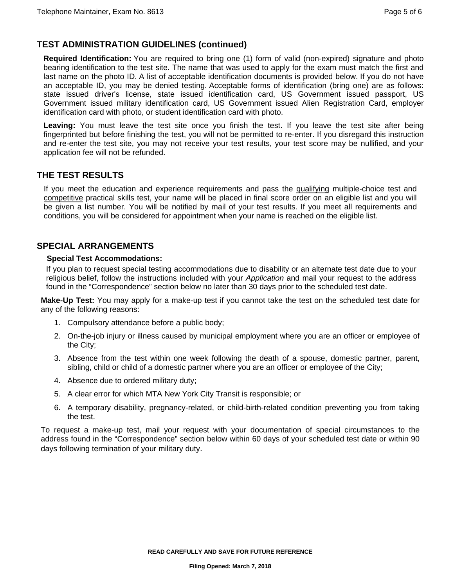# **TEST ADMINISTRATION GUIDELINES (continued)**

**Required Identification:** You are required to bring one (1) form of valid (non-expired) signature and photo bearing identification to the test site. The name that was used to apply for the exam must match the first and last name on the photo ID. A list of acceptable identification documents is provided below. If you do not have an acceptable ID, you may be denied testing. Acceptable forms of identification (bring one) are as follows: state issued driver's license, state issued identification card, US Government issued passport, US Government issued military identification card, US Government issued Alien Registration Card, employer identification card with photo, or student identification card with photo.

**Leaving:** You must leave the test site once you finish the test. If you leave the test site after being fingerprinted but before finishing the test, you will not be permitted to re-enter. If you disregard this instruction and re-enter the test site, you may not receive your test results, your test score may be nullified, and your application fee will not be refunded.

# **THE TEST RESULTS**

If you meet the education and experience requirements and pass the qualifying multiple-choice test and competitive practical skills test, your name will be placed in final score order on an eligible list and you will be given a list number. You will be notified by mail of your test results. If you meet all requirements and conditions, you will be considered for appointment when your name is reached on the eligible list.

# **SPECIAL ARRANGEMENTS**

## **Special Test Accommodations:**

If you plan to request special testing accommodations due to disability or an alternate test date due to your religious belief, follow the instructions included with your *Application* and mail your request to the address found in the "Correspondence" section below no later than 30 days prior to the scheduled test date.

**Make-Up Test:** You may apply for a make-up test if you cannot take the test on the scheduled test date for any of the following reasons:

- 1. Compulsory attendance before a public body;
- 2. On-the-job injury or illness caused by municipal employment where you are an officer or employee of the City;
- 3. Absence from the test within one week following the death of a spouse, domestic partner, parent, sibling, child or child of a domestic partner where you are an officer or employee of the City;
- 4. Absence due to ordered military duty;
- 5. A clear error for which MTA New York City Transit is responsible; or
- 6. A temporary disability, pregnancy-related, or child-birth-related condition preventing you from taking the test.

To request a make-up test, mail your request with your documentation of special circumstances to the address found in the "Correspondence" section below within 60 days of your scheduled test date or within 90 days following termination of your military duty.